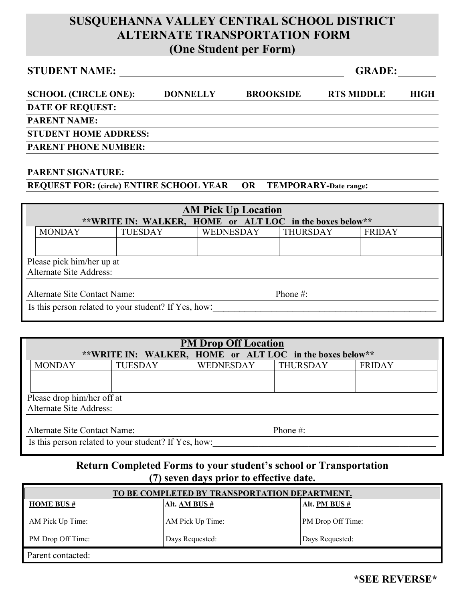### **SUSQUEHANNA VALLEY CENTRAL SCHOOL DISTRICT ALTERNATE TRANSPORTATION FORM (One Student per Form)**

## **STUDENT NAME: GRADE:**

| <b>SCHOOL (CIRCLE ONE):</b>  | <b>DONNELLY</b> | <b>BROOKSIDE</b> | <b>RTS MIDDLE</b> | HIGH |
|------------------------------|-----------------|------------------|-------------------|------|
| <b>DATE OF REQUEST:</b>      |                 |                  |                   |      |
| <b>PARENT NAME:</b>          |                 |                  |                   |      |
| <b>STUDENT HOME ADDRESS:</b> |                 |                  |                   |      |
| <b>PARENT PHONE NUMBER:</b>  |                 |                  |                   |      |

#### **PARENT SIGNATURE:**

#### **REQUEST FOR: (circle) ENTIRE SCHOOL YEAR OR TEMPORARY-Date range:**

| <b>AM Pick Up Location</b>                           |                                                          |                |           |                 |               |  |
|------------------------------------------------------|----------------------------------------------------------|----------------|-----------|-----------------|---------------|--|
|                                                      | **WRITE IN: WALKER, HOME or ALT LOC in the boxes below** |                |           |                 |               |  |
|                                                      | <b>MONDAY</b>                                            | <b>TUESDAY</b> | WEDNESDAY | <b>THURSDAY</b> | <b>FRIDAY</b> |  |
|                                                      |                                                          |                |           |                 |               |  |
| Please pick him/her up at<br>Alternate Site Address: |                                                          |                |           |                 |               |  |
| Alternate Site Contact Name:<br>Phone $\#$ :         |                                                          |                |           |                 |               |  |
| Is this person related to your student? If Yes, how: |                                                          |                |           |                 |               |  |

| <b>PM Drop Off Location</b>                              |                |                  |                 |               |  |
|----------------------------------------------------------|----------------|------------------|-----------------|---------------|--|
| **WRITE IN: WALKER, HOME or ALT LOC in the boxes below** |                |                  |                 |               |  |
| <b>MONDAY</b>                                            | <b>TUESDAY</b> | <b>WEDNESDAY</b> | <b>THURSDAY</b> | <b>FRIDAY</b> |  |
|                                                          |                |                  |                 |               |  |
|                                                          |                |                  |                 |               |  |
| Please drop him/her off at                               |                |                  |                 |               |  |
| Alternate Site Address:                                  |                |                  |                 |               |  |
|                                                          |                |                  |                 |               |  |
| Alternate Site Contact Name:                             |                |                  | Phone $#$ :     |               |  |
| Is this person related to your student? If Yes, how:     |                |                  |                 |               |  |

### **Return Completed Forms to your student's school or Transportation (7) seven days prior to effective date.**

| TO BE COMPLETED BY TRANSPORTATION DEPARTMENT. |                  |                          |  |  |
|-----------------------------------------------|------------------|--------------------------|--|--|
| <b>HOME BUS #</b>                             | Alt. AM BUS $#$  | Alt. $PM BUS #$          |  |  |
| AM Pick Up Time:                              | AM Pick Up Time: | <b>PM</b> Drop Off Time: |  |  |
| PM Drop Off Time:                             | Days Requested:  | Days Requested:          |  |  |
| Parent contacted:                             |                  |                          |  |  |